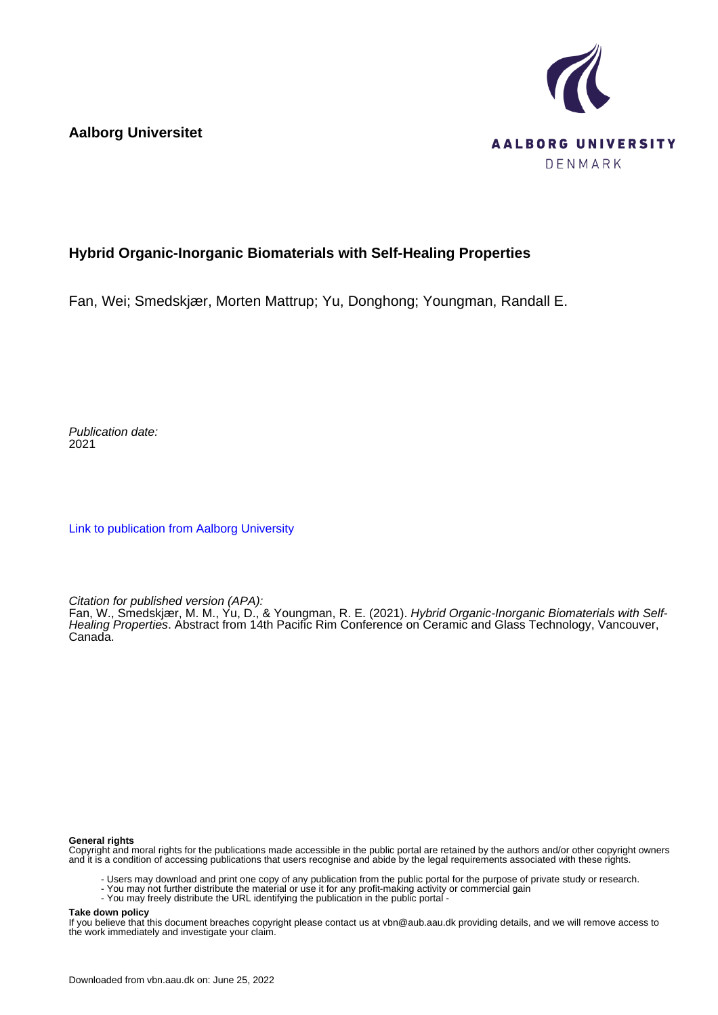**Aalborg Universitet**



## **Hybrid Organic-Inorganic Biomaterials with Self-Healing Properties**

Fan, Wei; Smedskjær, Morten Mattrup; Yu, Donghong; Youngman, Randall E.

Publication date: 2021

[Link to publication from Aalborg University](https://vbn.aau.dk/en/publications/a421594b-62cf-4879-86e1-d8750cd14cd5)

Citation for published version (APA):

Fan, W., Smedskjær, M. M., Yu, D., & Youngman, R. E. (2021). Hybrid Organic-Inorganic Biomaterials with Self-Healing Properties. Abstract from 14th Pacific Rim Conference on Ceramic and Glass Technology, Vancouver, Canada.

## **General rights**

Copyright and moral rights for the publications made accessible in the public portal are retained by the authors and/or other copyright owners and it is a condition of accessing publications that users recognise and abide by the legal requirements associated with these rights.

- Users may download and print one copy of any publication from the public portal for the purpose of private study or research.
- You may not further distribute the material or use it for any profit-making activity or commercial gain
- You may freely distribute the URL identifying the publication in the public portal -

## **Take down policy**

If you believe that this document breaches copyright please contact us at vbn@aub.aau.dk providing details, and we will remove access to the work immediately and investigate your claim.